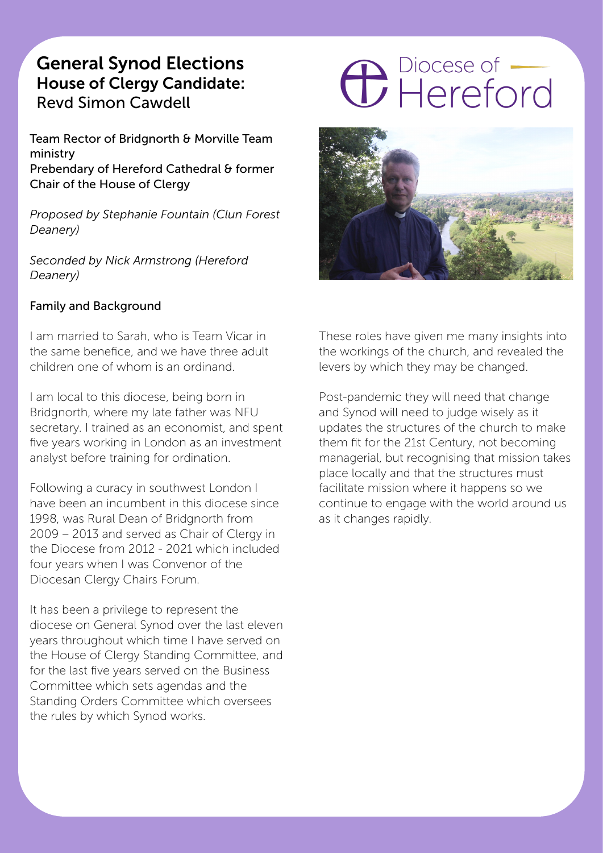# General Synod Elections House of Clergy Candidate: Revd Simon Cawdell

Team Rector of Bridgnorth & Morville Team ministry Prebendary of Hereford Cathedral & former Chair of the House of Clergy

*Proposed by Stephanie Fountain (Clun Forest Deanery)*

*Seconded by Nick Armstrong (Hereford Deanery)*

# Family and Background

I am married to Sarah, who is Team Vicar in the same benefice, and we have three adult children one of whom is an ordinand.

I am local to this diocese, being born in Bridgnorth, where my late father was NFU secretary. I trained as an economist, and spent five years working in London as an investment analyst before training for ordination.

Following a curacy in southwest London I have been an incumbent in this diocese since 1998, was Rural Dean of Bridgnorth from 2009 – 2013 and served as Chair of Clergy in the Diocese from 2012 - 2021 which included four years when I was Convenor of the Diocesan Clergy Chairs Forum.

It has been a privilege to represent the diocese on General Synod over the last eleven years throughout which time I have served on the House of Clergy Standing Committee, and for the last five years served on the Business Committee which sets agendas and the Standing Orders Committee which oversees the rules by which Synod works.

# **C** Piocese of



These roles have given me many insights into the workings of the church, and revealed the levers by which they may be changed.

Post-pandemic they will need that change and Synod will need to judge wisely as it updates the structures of the church to make them fit for the 21st Century, not becoming managerial, but recognising that mission takes place locally and that the structures must facilitate mission where it happens so we continue to engage with the world around us as it changes rapidly.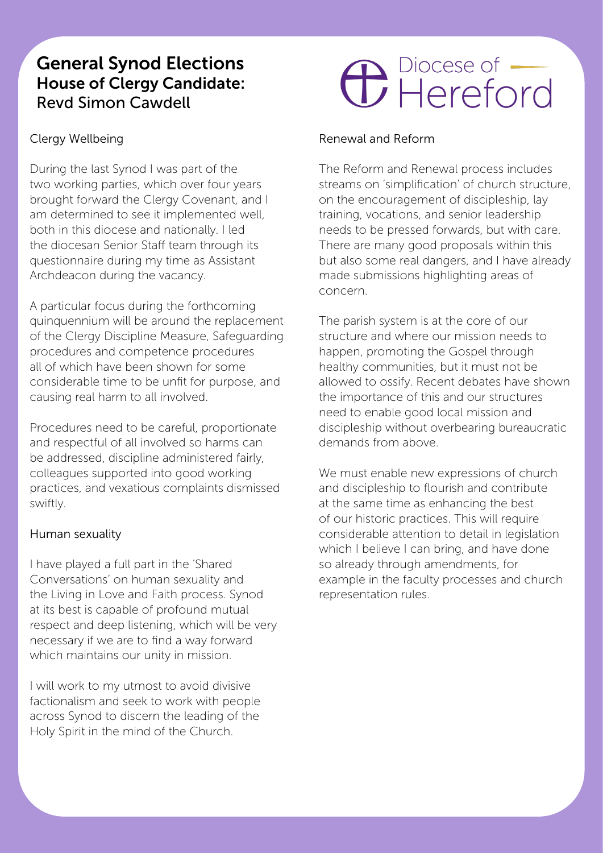# General Synod Elections House of Clergy Candidate: Revd Simon Cawdell

# Clergy Wellbeing

During the last Synod I was part of the two working parties, which over four years brought forward the Clergy Covenant, and I am determined to see it implemented well, both in this diocese and nationally. I led the diocesan Senior Staff team through its questionnaire during my time as Assistant Archdeacon during the vacancy.

A particular focus during the forthcoming quinquennium will be around the replacement of the Clergy Discipline Measure, Safeguarding procedures and competence procedures all of which have been shown for some considerable time to be unfit for purpose, and causing real harm to all involved.

Procedures need to be careful, proportionate and respectful of all involved so harms can be addressed, discipline administered fairly, colleagues supported into good working practices, and vexatious complaints dismissed swiftly.

## Human sexuality

I have played a full part in the 'Shared Conversations' on human sexuality and the Living in Love and Faith process. Synod at its best is capable of profound mutual respect and deep listening, which will be very necessary if we are to find a way forward which maintains our unity in mission.

I will work to my utmost to avoid divisive factionalism and seek to work with people across Synod to discern the leading of the Holy Spirit in the mind of the Church.

# **C** Piocese of

#### Renewal and Reform

The Reform and Renewal process includes streams on 'simplification' of church structure, on the encouragement of discipleship, lay training, vocations, and senior leadership needs to be pressed forwards, but with care. There are many good proposals within this but also some real dangers, and I have already made submissions highlighting areas of concern.

The parish system is at the core of our structure and where our mission needs to happen, promoting the Gospel through healthy communities, but it must not be allowed to ossify. Recent debates have shown the importance of this and our structures need to enable good local mission and discipleship without overbearing bureaucratic demands from above.

We must enable new expressions of church and discipleship to flourish and contribute at the same time as enhancing the best of our historic practices. This will require considerable attention to detail in legislation which I believe I can bring, and have done so already through amendments, for example in the faculty processes and church representation rules.